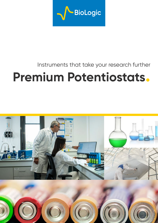

## Instruments that take your research further

# **Premium Potentiostats.**

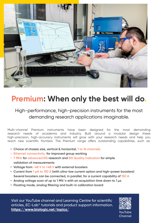

## **Premium: When only the best will do.**

### High-performance, high-precision instruments for the most demanding research applications imaginable.

Multi-channel Premium instruments have been designed for the most demanding research needs of academia and industry. Built around a modular design these high-precision, high-accuracy instruments will grow with your research needs and help you reach new scientific frontiers. The Premium range offers outstanding capabilities, such as:

- **• Choice of chassis size, vertical & horizontal, 1 to 16 channels**
- **• Ethernet connectivity for improved group working**
- **• 7 MHz for advanced EIS research and EIS Quality Indicators for simple validation of measurements**
- **• Voltage from -48 V to +48 V with external boosters**
- **• Current from 1 pA to 150 A (with ultra-low current option and high-power boosters) Several boosters can be connected, in parallel, for a current capability of 150 A**
- **• Analog voltage scan of up to 1 MV/s with an acquisition time down to 1 µs**
- **• Floating mode, analog filtering and built-in calibration board**

Visit our YouTube channel and Learning Centre for scientific articles, EC-Lab® tutorials and product support information. **https://www.biologic.net/topics/** YouTube

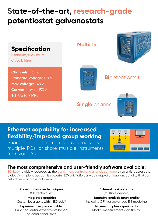## **State-of-the-art, research-grade potentiostat galvanostats**



**Ethernet capability for increased flexibility/improved group working** Share an instrument's channels via

multiple PCs, or share multiple instruments from your PC.



### **The most comprehensive and user-friendly software available:**

EC-Lab<sup>®</sup> is widely regarded as the benchmark control and analysis software by scientists across the globe. As simple to use as it is powerful, EC-Lab® offers a wide range of unique functionality that can help drive your projects forward.

**Preset or bespoke techniques** 80+ techniques

**Integrated graphics** Customize graphs within EC-Lab®

**Experiment sequence builder** Build sequential experiments based on conditional limits

**External device control**  (multiple devices)

**Extensive analysis functionality** Including Z Fit for advanced EIS modeling

**No need to plan experiments** Modify measurements "on the fly"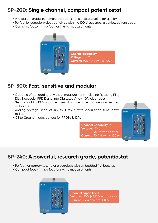## **SP-200: Single channel, compact potentiostat**

- A research-grade instrument that does not substitute value for quality
- Perfect for corrosion/electroanalysis with the 100 fA accuracy ultra-low current option
- Compact footprint: perfect for in-situ measurements



## **SP-300: Fast, sensitive and modular**

- Capable of generating any bipot measurement, including Rotating Ring Disk Electrode (RRDE) and InterDigitated Array (IDA) electrodes
- Second slot for 10 A capable internal booster (one channel can be used as booster)
- Analog voltage scan of up to 1 MV/s with acquisition time down to  $1 \mu s$
- CE to Ground mode: perfect for RRDEs & IDAs

**Channel Capability:** 2 **Voltage:** ±10 V ±48 V with booster **Current:** 10 A down to 100 fA



## **SP-240: A powerful, research grade, potentiostat**

- Perfect for battery testing or electrolysis with embedded 4 A booster.
- Compact footprint: perfect for in-situ measurements.



**Channel capability:** 1 **Voltage:** ±10 V. [-3;14]V with booster **Current:** ± 4 A down to 100 fA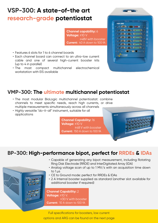## **VSP-300: A state-of-the art research-grade potentiostat**

**Channel capability:** 6 **Voltage:** ±10 V ±48V with booster **Current:** 40 A down to 100 fA

- Features 6 slots for 1 to 6 channel boards
- Each channel board can connect to an ultra-low current cable and one of several high-current booster kits (up to 4 in parallel)
- The most compact multichannel electrochemical workstation with EIS available

| <b>VSP-300</b> |                                                                                                                                                                                    |
|----------------|------------------------------------------------------------------------------------------------------------------------------------------------------------------------------------|
|                | o de la comp <mark>ont d</mark> e la                                                                                                                                               |
|                | <b>Common South State Section</b>                                                                                                                                                  |
|                | <b>Contractor of the contractor</b> of the contractor of the contractor of the contractor of the contractor of the con                                                             |
|                | . of the attention of a minimal on                                                                                                                                                 |
|                | <b>Carolina de algunha observante do</b> co                                                                                                                                        |
|                | a total of the design of the state of                                                                                                                                              |
|                | <b>Contract of the contract of the contract of the contract of the contract of the contract of the contract of the</b>                                                             |
| ÷              | $\begin{array}{c} \bullet & \text{if} \quad \blacksquare & \text{if} \quad \blacksquare & \text{if} \quad \blacksquare & \text{if} \quad \blacksquare \end{array}$<br>$\mathbf{r}$ |
|                | Botopic                                                                                                                                                                            |
|                |                                                                                                                                                                                    |

## **VMP-300: The ultimate multichannel potentiostat**

- The most modular BioLogic multichannel potentiostat: combine channels to meet specific needs, reach high currents, or drive multiple measurements simultaneously across all channels
- Highly versatile "do-it-all" instrument, suitable for all applications

**Channel Capability:** 16 **Voltage:** ±10 V ±48 V with booster **Current:** 150 A down to 100 fA

## **BP-300: High-performance bipot, perfect for RRDEs & IDAs**

- Capable of generating any bipot measurement, including Rotating Ring Disk Electrode (RRDE) and InterDigitated Array (IDA)
- Analog voltage scan of up to 1 MV/s with an acquisition time down to 1 us
- CE to Ground mode: perfect for RRDEs & IDAs
- 2 A Internal booster supplied as standard (another slot available for additional booster if required)

**Channel Capability:** 2 **Voltage:** ±10 V. ±30 V with booster **Current:** 10 A down to 100 fA

Full specifications for boosters, low current options and ARG can be found on the next page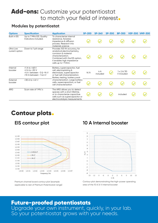## Add-ons: Customize your potentiostat to match your field of interest.

#### **Modules by potentiostat**

| <b>Options</b>              | <b>Specification</b>                                                                                  | <b>Application</b>                                                                                                                                                                              | <b>SP-200</b> | $SP-240$        | <b>SP-300</b> | <b>BP-300</b>                   | <b>VSP-300 VMP-300</b> |
|-----------------------------|-------------------------------------------------------------------------------------------------------|-------------------------------------------------------------------------------------------------------------------------------------------------------------------------------------------------|---------------|-----------------|---------------|---------------------------------|------------------------|
| <b>Built in EIS</b>         | Up to 7 MHz EIS. Quality<br>Indicators included.                                                      | To characterize internal<br>resistance, faradaic<br>impedance & diffusion<br>process. Research into<br>materials science                                                                        |               |                 |               |                                 |                        |
| Ultra Low<br>current option | Down to 1 pA range                                                                                    | Provides 100 fA accuracy, for<br>analytical electrochemistry,<br>corrosion & material<br>characterization.<br>Combined with the EIS option,<br>it enables high impedance<br>cells up to 1 TOhm. |               |                 |               |                                 |                        |
| Internal<br>booster         | $±1$ A to $±48$ V<br>$±2$ A to $±30$ V<br>$±4$ A between $-3$ & $+14$ V<br>$±10$ A between $-1$ & 6 V | Battery, supercapacitor, fuel<br>cell, electroplating &<br>electrolysis, supercapacitor<br>or fuel cell characterization.<br>Battery testing, battery pack                                      | N/A           | 4 A<br>included |               | $1 \times 2$ A/30<br>V included |                        |
| External<br>booster         | $±30$ A to $±48$ V                                                                                    | characterization. Large battery<br>cells, supercapacitors, or fuel<br>cell characterization                                                                                                     |               |                 |               |                                 |                        |
| <b>ARG</b>                  | Scan rate of 1 MV/s                                                                                   | The ARG allows you to detect<br>species with a short lifetime,<br>or to characterize capacitive<br>cells such as supercapacitor or<br>electrocatalysis measurements.                            | $\checkmark$  |                 |               | included                        |                        |

## Contour plots.



Premium channel board contour plot (example applicable to rest of Premium Potentiostat range)

### **EIS contour plot 10 A Internal booster**



Contour plot demonstrating the high-power operating area of the 10 A/6 V internal booster

## Future-proofed potentiostats

Upgrade your own instrument, quickly, in your lab. So your potentiostat grows with your needs.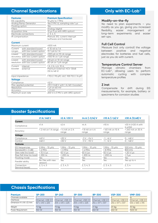#### **Channel Specifications**

| <b>Features</b>       |                                    | <b>Premium Specification</b>                              |  |  |  |  |
|-----------------------|------------------------------------|-----------------------------------------------------------|--|--|--|--|
| EIS capability        |                                    | 10 µHz to 7 MHz                                           |  |  |  |  |
|                       | Analog Ramp Generator              | Yes (1 MV/s), sampling rate 1 µs                          |  |  |  |  |
| Floating option       |                                    | Yes                                                       |  |  |  |  |
| Filters               |                                    | Analog/digital                                            |  |  |  |  |
| Acquisition time      |                                    | $\frac{1}{2}$ $\mu s$ (1 $\mu s$ with ARG option)         |  |  |  |  |
|                       | Electrode connections              | 2, 3, 4, 5                                                |  |  |  |  |
| IR compensation       |                                    | Manual, EIS, current interrupt<br>(software and hardware) |  |  |  |  |
| <b>Current</b>        |                                    |                                                           |  |  |  |  |
| Maximum current       |                                    | $±500$ mA                                                 |  |  |  |  |
| Current               | with standard board                | 9:10 nA to 1A                                             |  |  |  |  |
| ranges                | with low current option            | 13:1 pA to 1 A                                            |  |  |  |  |
| Lowest                | with standard board                | ±100 pA on 10 nA range                                    |  |  |  |  |
|                       | accuracy with low current option   | ±100 fA on 1 pA range                                     |  |  |  |  |
| Lowest                | with standard board                | 0.8 pA on 10 nA range                                     |  |  |  |  |
|                       | resolution with low current option | 80 aA on 1 pA range                                       |  |  |  |  |
| Current               | internal                           | 1 A, 2 A, 4 A, 10 A,                                      |  |  |  |  |
| booster               | external                           | Premium External: HCV-3048<br>(30 A/48 V)                 |  |  |  |  |
| Input impedance       |                                    | $1 T\Omega$ (//10 pF), ULC: 100 T $\Omega$ (//6 pF)       |  |  |  |  |
| <b>Voltage</b>        |                                    |                                                           |  |  |  |  |
| Compliance            |                                    | ±12V                                                      |  |  |  |  |
| Max applied potential |                                    | ±10 V (±48 V with 1 A/48 V booster)                       |  |  |  |  |
| Resolution            |                                    | 1 µV on 60 mV                                             |  |  |  |  |
| Accuracy              |                                    | $<$ $\pm$ 1 mV                                            |  |  |  |  |
| Maximum scan rate     |                                    | 200 V/s (1 MV/s with ARG option)                          |  |  |  |  |

#### **Only with EC-Lab**®

#### **Modify-on-the-fly**

No need to plan experiments – you modify as you go, giving you increased flexibility, easier management of long-term experiments and easier set-ups.

#### **Full Cell Control**

Measure (not only control) the voltage between positive and negative electrodes for batteries and fuel cells, just as you do with current.

#### **Temperature Control Server**

Manage climatic chambers from EC-Lab®, allowing users to perform automatic cycling with complex temperature profiles

#### **Z inst**

Compensate for drift during EIS measurements, for example, battery or specimens for corrosion studies

#### **Booster Specifications**

|                                | ±1 A/±48 V                            | $\pm 2$ A/ $\pm 30$ V | $\pm 4$ A/[-3;14] V      | ±10 A/[-1;6] V             | ±30 A/[0;48] V                            |
|--------------------------------|---------------------------------------|-----------------------|--------------------------|----------------------------|-------------------------------------------|
| Current                        |                                       |                       |                          |                            |                                           |
| Compliance                     | ±1A                                   | ±2A                   | ±4A                      | ±10A                       | $\pm$ 30 A ( $\pm$ 120 A with<br>4 units) |
| Accuracy                       | $< 2$ mA on 1 A range $< 4$ mA on 2 A | range                 | $< 8$ mA on 4 A<br>range | $<$ 60 mA on 10 A<br>range | < 240 mA on 30 A<br>range                 |
| Voltage                        |                                       |                       |                          |                            |                                           |
| Compliance                     | $±49$ V                               | ±30V                  | $-3 V$ ; $+14 V$         | $-1: +6V$                  | $0: +48V$                                 |
| Control                        | $±48$ V                               | ±30V                  | $-3$ V : +10 V           | $-1: +6V$                  | $0: +48V$                                 |
| <b>Features</b>                |                                       |                       |                          |                            |                                           |
| <b>EIS</b> frequencies         | $2 MHz - 10 uHz$                      | $1 MHz - 10 \mu Hz$   | 1 MHz - 10 µHz           | $1 MHz - 10 uHz$           | 500 kHz - $10 \mu$ Hz                     |
| Bandwidth (-3 dB)              | > 2 MHz                               | > 3 MHz               | > 4 MHz                  | > 8 MHz                    | 800 kHz                                   |
| Slew rate (no load)            | $>15 V/ \mu s$                        | 50 V/ $\mu$ s         | $50 V/ \mu s$            | $50 V/ \mu s$              | $>20 V/ \mu s$                            |
| Rise/fall time (no load)       | $< 250$ ns                            | $< 200$ ns            | $< 200$ ns               | < 200 ns                   | $<$ 3 $\mu$ s                             |
| Floating mode                  | Yes                                   | Yes                   | Yes                      | Yes                        | Yes                                       |
| Parallel ability               | No (Yes with new<br>version)          | Yes                   | Yes                      | Yes                        | Yes up to 4                               |
| Connection<br>(terminal leads) | 2, 3, 4, 5                            | 2, 3, 4, 5            | 2, 3, 4, 5               | 2, 3, 4, 5                 | 2, 3, 4                                   |

#### **Chassis Specifications**

| <b>Premium</b>                     | <b>SP-200</b>               | $SP-240$          | <b>SP-300</b>     | <b>BP-300</b>     | <b>VSP-300</b>              | <b>VMP-300</b>              |
|------------------------------------|-----------------------------|-------------------|-------------------|-------------------|-----------------------------|-----------------------------|
| Channels available                 |                             |                   |                   |                   |                             |                             |
| <b>Interfaces</b>                  | Ethernet, USB 2.0           | Ethernet, USB 2.0 | Ethernet, USB 2.0 | Ethernet, USB 2.0 | Ethernet, USB 2.0           | Ethernet, USB 2.0           |
| Dimension $H \times W \times D/mm$ | $167 \times 410 \times 225$ | 205 x 410 x 225   | 205 x 410 x 225   | 254 x 517 x 337   | $254 \times 517 \times 337$ | $534 \times 565 \times 315$ |
| Weight                             | 7.2 kg                      | 7.5 kg            | 7.5 kg            | 20 kg             | 20 kg                       | 30 kg                       |
| Power Requirement                  | 350 W                       | 350 W             | 350 W             | 650 W             | 650 W                       | 1500 W                      |